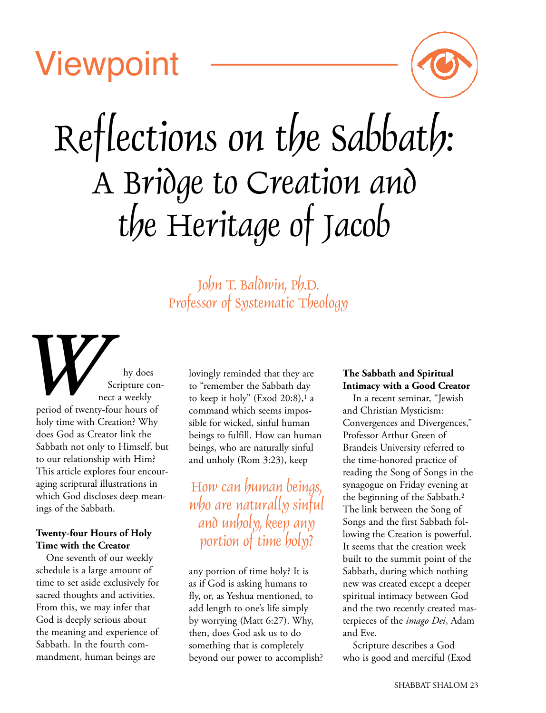# **Viewpoint**



# Reflections on the Sabbath: A Bridge to Creation and the Heritage of Jacob

John T. Baldwin, Ph.D. Professor of Systematic Theology

hy does Scripture connect a weekly period of twenty-four hours of holy time with Creation? Why does God as Creator link the Sabbath not only to Himself, but to our relationship with Him? This article explores four encouraging scriptural illustrations in which God discloses deep meanings of the Sabbath. period of twenty

# **Twenty-four Hours of Holy Time with the Creator**

One seventh of our weekly schedule is a large amount of time to set aside exclusively for sacred thoughts and activities. From this, we may infer that God is deeply serious about the meaning and experience of Sabbath. In the fourth commandment, human beings are

lovingly reminded that they are to "remember the Sabbath day to keep it holy" (Exod 20:8),<sup>1</sup> a command which seems impossible for wicked, sinful human beings to fulfill. How can human beings, who are naturally sinful and unholy (Rom 3:23), keep

How can human beings, who are naturally sinful and unholy, keep any portion of time holy?

any portion of time holy? It is as if God is asking humans to fly, or, as Yeshua mentioned, to add length to one's life simply by worrying (Matt 6:27). Why, then, does God ask us to do something that is completely beyond our power to accomplish?

# **The Sabbath and Spiritual Intimacy with a Good Creator**

In a recent seminar, "Jewish and Christian Mysticism: Convergences and Divergences," Professor Arthur Green of Brandeis University referred to the time-honored practice of reading the Song of Songs in the synagogue on Friday evening at the beginning of the Sabbath.2 The link between the Song of Songs and the first Sabbath following the Creation is powerful. It seems that the creation week built to the summit point of the Sabbath, during which nothing new was created except a deeper spiritual intimacy between God and the two recently created masterpieces of the *imago Dei*, Adam and Eve.

Scripture describes a God who is good and merciful (Exod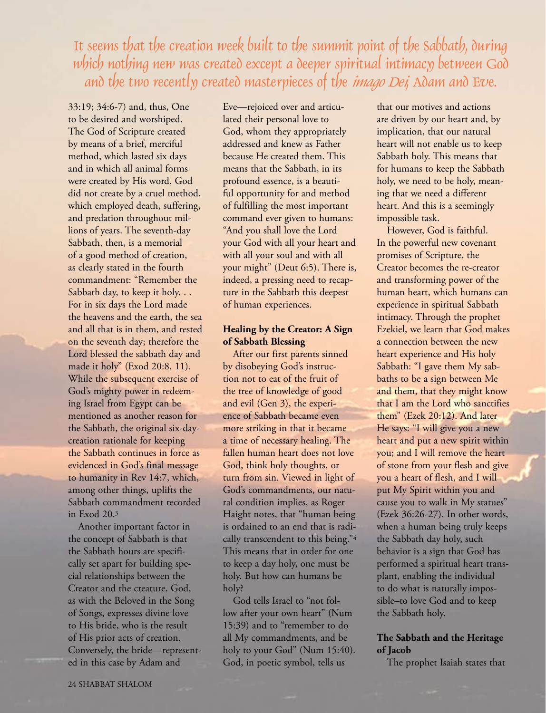It seems that the creation week built to the summit point of the Sabbath, during which nothing new was created except a deeper spiritual intimacy between God and the two recently created masterpieces of the *imago Dei*, Adam and Eve.

33:19; 34:6-7) and, thus, One to be desired and worshiped. The God of Scripture created by means of a brief, merciful method, which lasted six days and in which all animal forms were created by His word. God did not create by a cruel method, which employed death, suffering, and predation throughout millions of years. The seventh-day Sabbath, then, is a memorial of a good method of creation, as clearly stated in the fourth commandment: "Remember the Sabbath day, to keep it holy. . . For in six days the Lord made the heavens and the earth, the sea and all that is in them, and rested on the seventh day; therefore the Lord blessed the sabbath day and made it holy" (Exod 20:8, 11). While the subsequent exercise of God's mighty power in redeeming Israel from Egypt can be mentioned as another reason for the Sabbath, the original six-daycreation rationale for keeping the Sabbath continues in force as evidenced in God's final message to humanity in Rev 14:7, which, among other things, uplifts the Sabbath commandment recorded in Exod 20.3

Another important factor in the concept of Sabbath is that the Sabbath hours are specifically set apart for building special relationships between the Creator and the creature. God, as with the Beloved in the Song of Songs, expresses divine love to His bride, who is the result of His prior acts of creation. Conversely, the bride––represented in this case by Adam and

Eve––rejoiced over and articulated their personal love to God, whom they appropriately addressed and knew as Father because He created them. This means that the Sabbath, in its profound essence, is a beautiful opportunity for and method of fulfilling the most important command ever given to humans: "And you shall love the Lord your God with all your heart and with all your soul and with all your might" (Deut 6:5). There is, indeed, a pressing need to recapture in the Sabbath this deepest of human experiences.

### **Healing by the Creator: A Sign of Sabbath Blessing**

After our first parents sinned by disobeying God's instruction not to eat of the fruit of the tree of knowledge of good and evil (Gen 3), the experience of Sabbath became even more striking in that it became a time of necessary healing. The fallen human heart does not love God, think holy thoughts, or turn from sin. Viewed in light of God's commandments, our natural condition implies, as Roger Haight notes, that "human being is ordained to an end that is radically transcendent to this being."4 This means that in order for one to keep a day holy, one must be holy. But how can humans be holy?

God tells Israel to "not follow after your own heart" (Num 15:39) and to "remember to do all My commandments, and be holy to your God" (Num 15:40). God, in poetic symbol, tells us

that our motives and actions are driven by our heart and, by implication, that our natural heart will not enable us to keep Sabbath holy. This means that for humans to keep the Sabbath holy, we need to be holy, meaning that we need a different heart. And this is a seemingly impossible task.

However, God is faithful. In the powerful new covenant promises of Scripture, the Creator becomes the re-creator and transforming power of the human heart, which humans can experience in spiritual Sabbath intimacy. Through the prophet Ezekiel, we learn that God makes a connection between the new heart experience and His holy Sabbath: "I gave them My sabbaths to be a sign between Me and them, that they might know that I am the Lord who sanctifies them" (Ezek 20:12). And later He says: "I will give you a new heart and put a new spirit within you; and I will remove the heart of stone from your flesh and give you a heart of flesh, and I will put My Spirit within you and cause you to walk in My statues" (Ezek 36:26-27). In other words, when a human being truly keeps the Sabbath day holy, such behavior is a sign that God has performed a spiritual heart transplant, enabling the individual to do what is naturally impossible–to love God and to keep the Sabbath holy.

# **The Sabbath and the Heritage of Jacob**

The prophet Isaiah states that